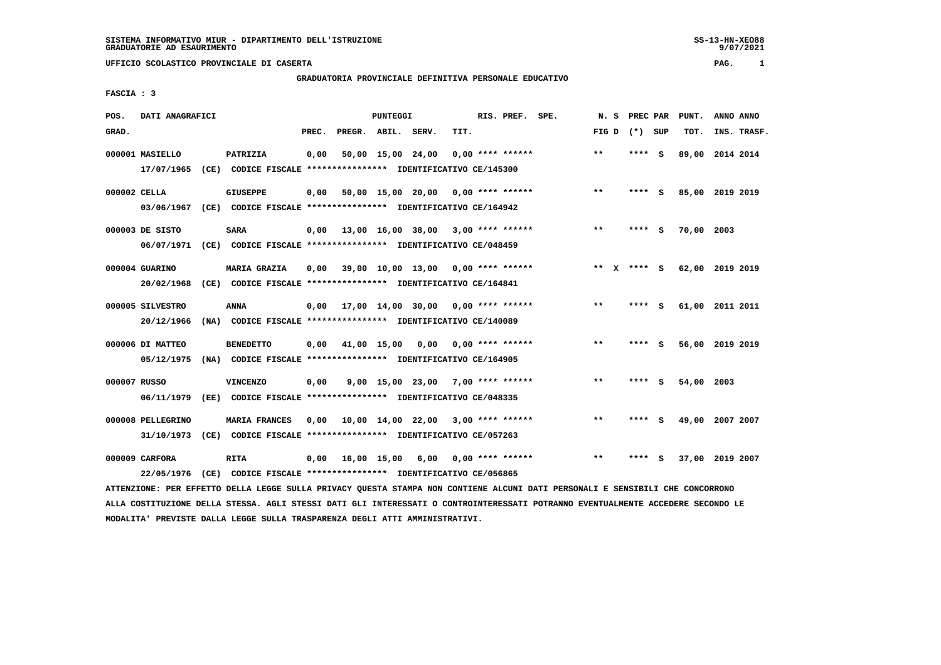# **GRADUATORIA PROVINCIALE DEFINITIVA PERSONALE EDUCATIVO**

 **FASCIA : 3**

| POS.         | DATI ANAGRAFICI   |  |                                                                                                                               | PUNTEGGI |                    |                   |                                     |      |  | RIS. PREF. SPE.    |  |              | PREC PAR PUNT. | ANNO ANNO |                 |           |             |
|--------------|-------------------|--|-------------------------------------------------------------------------------------------------------------------------------|----------|--------------------|-------------------|-------------------------------------|------|--|--------------------|--|--------------|----------------|-----------|-----------------|-----------|-------------|
| GRAD.        |                   |  |                                                                                                                               | PREC.    | PREGR. ABIL. SERV. |                   |                                     | TIT. |  |                    |  | FIG D        | (*) SUP        |           | TOT.            |           | INS. TRASF. |
|              | 000001 MASIELLO   |  | PATRIZIA                                                                                                                      | 0,00     |                    | 50,00 15,00 24,00 |                                     |      |  | $0.00$ **** ****** |  | $\star\star$ | ****           | - S       | 89,00           | 2014 2014 |             |
|              | 17/07/1965        |  | (CE) CODICE FISCALE **************** IDENTIFICATIVO CE/145300                                                                 |          |                    |                   |                                     |      |  |                    |  |              |                |           |                 |           |             |
| 000002 CELLA |                   |  | <b>GIUSEPPE</b>                                                                                                               | 0,00     |                    |                   | 50,00 15,00 20,00 0,00 **** ******  |      |  |                    |  | $***$        | ****           | s         | 85,00           | 2019 2019 |             |
|              | 03/06/1967        |  | (CE) CODICE FISCALE **************** IDENTIFICATIVO CE/164942                                                                 |          |                    |                   |                                     |      |  |                    |  |              |                |           |                 |           |             |
|              | 000003 DE SISTO   |  | SARA                                                                                                                          | 0,00     |                    |                   | 13,00 16,00 38,00 3,00 **** ******  |      |  |                    |  | $* *$        | **** S         |           | 70,00           | 2003      |             |
|              | 06/07/1971        |  | (CE) CODICE FISCALE **************** IDENTIFICATIVO CE/048459                                                                 |          |                    |                   |                                     |      |  |                    |  |              |                |           |                 |           |             |
|              | 000004 GUARINO    |  | <b>MARIA GRAZIA</b>                                                                                                           | 0,00     |                    |                   | 39,00 10,00 13,00 0,00 **** ******  |      |  |                    |  | ** x **** S  |                |           | 62,00 2019 2019 |           |             |
|              | 20/02/1968        |  | (CE) CODICE FISCALE **************** IDENTIFICATIVO CE/164841                                                                 |          |                    |                   |                                     |      |  |                    |  |              |                |           |                 |           |             |
|              | 000005 SILVESTRO  |  | <b>ANNA</b>                                                                                                                   | 0.00     |                    |                   | 17,00 14,00 30,00 0,00 **** ******  |      |  |                    |  | $* *$        | **** S         |           | 61,00 2011 2011 |           |             |
|              | 20/12/1966        |  | (NA) CODICE FISCALE **************** IDENTIFICATIVO CE/140089                                                                 |          |                    |                   |                                     |      |  |                    |  |              |                |           |                 |           |             |
|              | 000006 DI MATTEO  |  | <b>BENEDETTO</b>                                                                                                              | 0,00     |                    | 41,00 15,00       | 0,00 0,00 **** ******               |      |  |                    |  | $***$        | ****           | - 5       | 56,00 2019 2019 |           |             |
|              | 05/12/1975        |  | (NA) CODICE FISCALE **************** IDENTIFICATIVO CE/164905                                                                 |          |                    |                   |                                     |      |  |                    |  |              |                |           |                 |           |             |
| 000007 RUSSO |                   |  | <b>VINCENZO</b>                                                                                                               | 0,00     |                    |                   | $9.00$ 15.00 23.00 7.00 **** ****** |      |  |                    |  | $* *$        | ****           | s         | 54,00           | 2003      |             |
|              | 06/11/1979        |  | (EE) CODICE FISCALE **************** IDENTIFICATIVO CE/048335                                                                 |          |                    |                   |                                     |      |  |                    |  |              |                |           |                 |           |             |
|              | 000008 PELLEGRINO |  | <b>MARIA FRANCES</b>                                                                                                          | 0.00     |                    |                   | 10,00 14,00 22,00 3,00 **** ******  |      |  |                    |  | $* *$        | **** S         |           | 49,00 2007 2007 |           |             |
|              | 31/10/1973        |  | (CE) CODICE FISCALE **************** IDENTIFICATIVO CE/057263                                                                 |          |                    |                   |                                     |      |  |                    |  |              |                |           |                 |           |             |
|              | 000009 CARFORA    |  | <b>RITA</b>                                                                                                                   | 0,00     | 16,00 15,00        |                   | 6,00 0,00 **** ******               |      |  |                    |  | **           |                | s         | 37,00 2019 2007 |           |             |
|              | 22/05/1976        |  | (CE) CODICE FISCALE **************** IDENTIFICATIVO CE/056865                                                                 |          |                    |                   |                                     |      |  |                    |  |              |                |           |                 |           |             |
|              |                   |  | ATTENZIONE: PER EFFETTO DELLA LEGGE SULLA PRIVACY QUESTA STAMPA NON CONTIENE ALCUNI DATI PERSONALI E SENSIBILI CHE CONCORRONO |          |                    |                   |                                     |      |  |                    |  |              |                |           |                 |           |             |

 **ALLA COSTITUZIONE DELLA STESSA. AGLI STESSI DATI GLI INTERESSATI O CONTROINTERESSATI POTRANNO EVENTUALMENTE ACCEDERE SECONDO LE MODALITA' PREVISTE DALLA LEGGE SULLA TRASPARENZA DEGLI ATTI AMMINISTRATIVI.**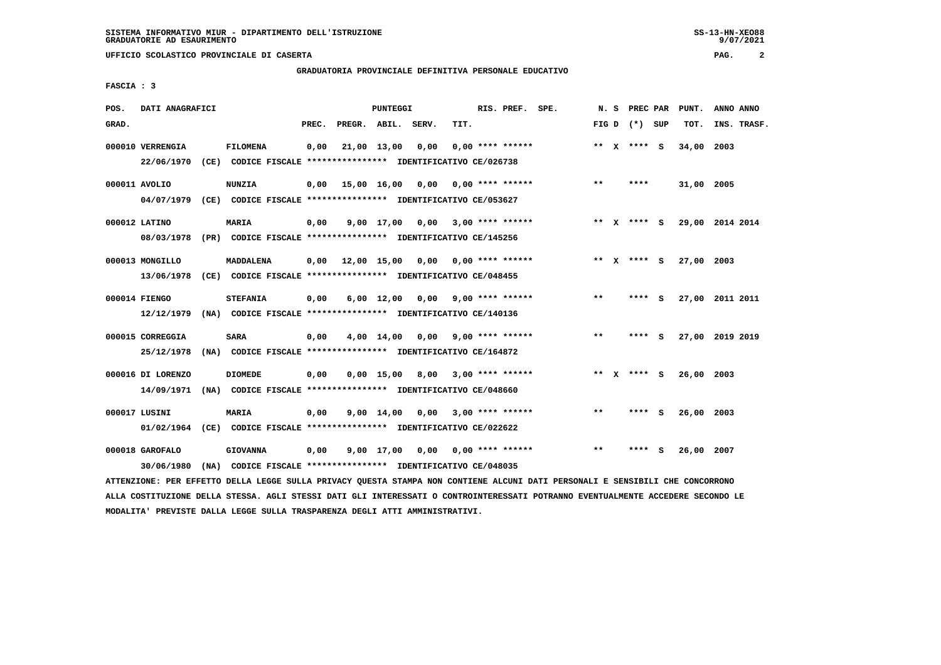# **GRADUATORIA PROVINCIALE DEFINITIVA PERSONALE EDUCATIVO**

 **FASCIA : 3**

| POS.  | DATI ANAGRAFICI   |                                                                         |       |                                          | <b>PUNTEGGI</b>  |                                    |                           | RIS. PREF. | SPE. |       | N.S | PREC PAR          |     | PUNT.      | ANNO ANNO       |
|-------|-------------------|-------------------------------------------------------------------------|-------|------------------------------------------|------------------|------------------------------------|---------------------------|------------|------|-------|-----|-------------------|-----|------------|-----------------|
| GRAD. |                   |                                                                         | PREC. | PREGR. ABIL. SERV.                       |                  |                                    | TIT.                      |            |      |       |     | FIG $D$ $(*)$ SUP |     | TOT.       | INS. TRASF.     |
|       | 000010 VERRENGIA  | <b>FILOMENA</b>                                                         | 0,00  |                                          | 21,00 13,00 0,00 |                                    | $0.00$ **** ******        |            |      |       |     | ** $X$ **** S     |     | 34,00      | 2003            |
|       | 22/06/1970        | (CE) CODICE FISCALE **************** IDENTIFICATIVO CE/026738           |       |                                          |                  |                                    |                           |            |      |       |     |                   |     |            |                 |
|       | 000011 AVOLIO     | <b>NUNZIA</b>                                                           |       | $0,00$ 15,00 16,00 0,00 0,00 **** ****** |                  |                                    |                           |            |      | $***$ |     | ****              |     | 31,00 2005 |                 |
|       |                   | 04/07/1979 (CE) CODICE FISCALE *************** IDENTIFICATIVO CE/053627 |       |                                          |                  |                                    |                           |            |      |       |     |                   |     |            |                 |
|       | 000012 LATINO     | MARIA                                                                   | 0,00  |                                          |                  | $9,00$ 17,00 0,00 3,00 **** ****** |                           |            |      |       |     | ** X **** S       |     |            | 29,00 2014 2014 |
|       | 08/03/1978        | (PR) CODICE FISCALE **************** IDENTIFICATIVO CE/145256           |       |                                          |                  |                                    |                           |            |      |       |     |                   |     |            |                 |
|       | 000013 MONGILLO   | MADDALENA                                                               | 0.00  | 12,00 15,00 0,00 0,00 **** ******        |                  |                                    |                           |            |      |       |     | ** X **** S       |     | 27,00 2003 |                 |
|       | 13/06/1978        | (CE) CODICE FISCALE **************** IDENTIFICATIVO CE/048455           |       |                                          |                  |                                    |                           |            |      |       |     |                   |     |            |                 |
|       | 000014 FIENGO     | <b>STEFANIA</b>                                                         | 0,00  |                                          |                  | $6,00$ 12,00 0,00 9,00 **** ****** |                           |            |      | $* *$ |     | ****              | - S |            | 27,00 2011 2011 |
|       | 12/12/1979        | (NA) CODICE FISCALE **************** IDENTIFICATIVO CE/140136           |       |                                          |                  |                                    |                           |            |      |       |     |                   |     |            |                 |
|       | 000015 CORREGGIA  | <b>SARA</b>                                                             | 0,00  |                                          |                  | $4,00$ 14,00 0,00 9,00 **** ****** |                           |            |      | $* *$ |     | ****              | - S |            | 27,00 2019 2019 |
|       | 25/12/1978        | (NA) CODICE FISCALE **************** IDENTIFICATIVO CE/164872           |       |                                          |                  |                                    |                           |            |      |       |     |                   |     |            |                 |
|       | 000016 DI LORENZO | <b>DIOMEDE</b>                                                          | 0,00  |                                          |                  | $0,00$ 15,00 8,00 3,00 **** ****** |                           |            |      |       |     | ** $X$ **** S     |     | 26,00 2003 |                 |
|       | 14/09/1971        | (NA) CODICE FISCALE **************** IDENTIFICATIVO CE/048660           |       |                                          |                  |                                    |                           |            |      |       |     |                   |     |            |                 |
|       | 000017 LUSINI     | <b>MARIA</b>                                                            | 0,00  |                                          | 9,00 14,00       |                                    | $0,00$ 3,00 **** ******   |            |      | $***$ |     | **** S            |     | 26,00      | 2003            |
|       | 01/02/1964        | (CE) CODICE FISCALE **************** IDENTIFICATIVO CE/022622           |       |                                          |                  |                                    |                           |            |      |       |     |                   |     |            |                 |
|       | 000018 GAROFALO   | <b>GIOVANNA</b>                                                         | 0,00  |                                          | 9,00 17,00       |                                    | $0,00$ $0,00$ **** ****** |            |      | $**$  |     | ****              | s   | 26,00 2007 |                 |
|       | 30/06/1980        | (NA) CODICE FISCALE **************** IDENTIFICATIVO CE/048035           |       |                                          |                  |                                    |                           |            |      |       |     |                   |     |            |                 |

 **ATTENZIONE: PER EFFETTO DELLA LEGGE SULLA PRIVACY QUESTA STAMPA NON CONTIENE ALCUNI DATI PERSONALI E SENSIBILI CHE CONCORRONO ALLA COSTITUZIONE DELLA STESSA. AGLI STESSI DATI GLI INTERESSATI O CONTROINTERESSATI POTRANNO EVENTUALMENTE ACCEDERE SECONDO LE MODALITA' PREVISTE DALLA LEGGE SULLA TRASPARENZA DEGLI ATTI AMMINISTRATIVI.**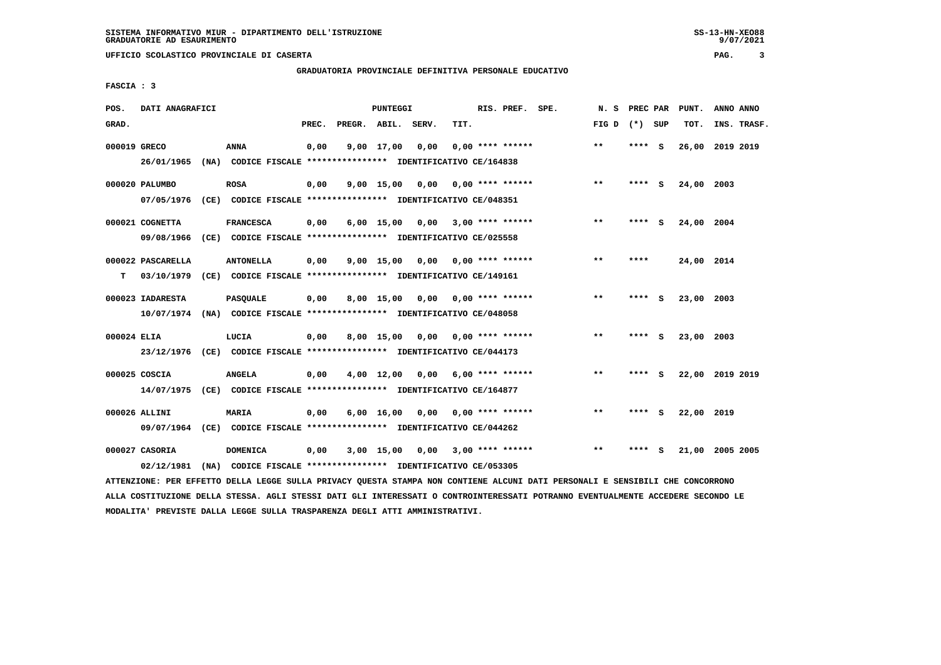# **GRADUATORIA PROVINCIALE DEFINITIVA PERSONALE EDUCATIVO**

 **FASCIA : 3**

| POS.         | DATI ANAGRAFICI   |  |                                                                                                                               | PUNTEGGI |                    |              |                                    |                         |  | RIS. PREF. SPE.<br>N.S |  |                 |        | PREC PAR | PUNT.<br>ANNO ANNO |  |             |
|--------------|-------------------|--|-------------------------------------------------------------------------------------------------------------------------------|----------|--------------------|--------------|------------------------------------|-------------------------|--|------------------------|--|-----------------|--------|----------|--------------------|--|-------------|
| GRAD.        |                   |  |                                                                                                                               | PREC.    | PREGR. ABIL. SERV. |              |                                    | TIT.                    |  |                        |  | FIG D $(*)$ SUP |        |          | TOT.               |  | INS. TRASF. |
| 000019 GRECO |                   |  | <b>ANNA</b>                                                                                                                   | 0,00     |                    | 9,00 17,00   | 0,00                               |                         |  | $0.00$ **** ******     |  | $***$           | **** S |          | 26,00 2019 2019    |  |             |
|              | 26/01/1965        |  | (NA) CODICE FISCALE **************** IDENTIFICATIVO CE/164838                                                                 |          |                    |              |                                    |                         |  |                        |  |                 |        |          |                    |  |             |
|              | 000020 PALUMBO    |  | <b>ROSA</b>                                                                                                                   | 0,00     |                    |              | $9,00$ 15,00 0,00 0,00 **** ****** |                         |  |                        |  | $* *$           | **** S |          | 24,00 2003         |  |             |
|              | 07/05/1976        |  | (CE) CODICE FISCALE *************** IDENTIFICATIVO CE/048351                                                                  |          |                    |              |                                    |                         |  |                        |  |                 |        |          |                    |  |             |
|              | 000021 COGNETTA   |  | <b>FRANCESCA</b>                                                                                                              | 0,00     |                    |              | $6,00$ 15,00 0,00 3,00 **** ****** |                         |  |                        |  | $* *$           | **** S |          | 24,00 2004         |  |             |
|              | 09/08/1966        |  | (CE) CODICE FISCALE *************** IDENTIFICATIVO CE/025558                                                                  |          |                    |              |                                    |                         |  |                        |  |                 |        |          |                    |  |             |
|              | 000022 PASCARELLA |  | <b>ANTONELLA</b>                                                                                                              | 0,00     |                    |              | $9,00$ 15,00 0,00 0,00 **** ****** |                         |  |                        |  | $* *$           | ****   |          | 24,00 2014         |  |             |
| т            | 03/10/1979        |  | (CE) CODICE FISCALE **************** IDENTIFICATIVO CE/149161                                                                 |          |                    |              |                                    |                         |  |                        |  |                 |        |          |                    |  |             |
|              | 000023 IADARESTA  |  | <b>PASQUALE</b>                                                                                                               | 0,00     |                    |              | 8,00 15,00 0,00 0,00 **** ******   |                         |  |                        |  | $***$           | **** S |          | 23,00 2003         |  |             |
|              |                   |  | 10/07/1974 (NA) CODICE FISCALE *************** IDENTIFICATIVO CE/048058                                                       |          |                    |              |                                    |                         |  |                        |  |                 |        |          |                    |  |             |
| 000024 ELIA  |                   |  | LUCIA                                                                                                                         | 0,00     |                    |              | $8,00$ 15,00 0,00 0,00 **** ****** |                         |  |                        |  | $***$           | **** S |          | 23,00 2003         |  |             |
|              |                   |  | 23/12/1976 (CE) CODICE FISCALE *************** IDENTIFICATIVO CE/044173                                                       |          |                    |              |                                    |                         |  |                        |  |                 |        |          |                    |  |             |
|              | 000025 COSCIA     |  | <b>ANGELA</b>                                                                                                                 | 0,00     |                    |              | 4,00 12,00 0,00                    |                         |  | $6,00$ **** ******     |  | $***$           | **** S |          | 22,00 2019 2019    |  |             |
|              |                   |  | 14/07/1975 (CE) CODICE FISCALE *************** IDENTIFICATIVO CE/164877                                                       |          |                    |              |                                    |                         |  |                        |  |                 |        |          |                    |  |             |
|              | 000026 ALLINI     |  | <b>MARIA</b>                                                                                                                  | 0,00     |                    |              | $6,00$ 16,00 0,00 0,00 **** ****** |                         |  |                        |  | $***$           | **** S |          | 22,00 2019         |  |             |
|              |                   |  | 09/07/1964 (CE) CODICE FISCALE *************** IDENTIFICATIVO CE/044262                                                       |          |                    |              |                                    |                         |  |                        |  |                 |        |          |                    |  |             |
|              | 000027 CASORIA    |  | <b>DOMENICA</b>                                                                                                               | 0,00     |                    | $3,00$ 15,00 |                                    | $0.00$ 3.00 **** ****** |  |                        |  | $**$            | ****   | - S      | 21,00 2005 2005    |  |             |
|              | 02/12/1981        |  | (NA) CODICE FISCALE **************** IDENTIFICATIVO CE/053305                                                                 |          |                    |              |                                    |                         |  |                        |  |                 |        |          |                    |  |             |
|              |                   |  | ATTENZIONE: PER EFFETTO DELLA LEGGE SULLA PRIVACY QUESTA STAMPA NON CONTIENE ALCUNI DATI PERSONALI E SENSIBILI CHE CONCORRONO |          |                    |              |                                    |                         |  |                        |  |                 |        |          |                    |  |             |

 **ALLA COSTITUZIONE DELLA STESSA. AGLI STESSI DATI GLI INTERESSATI O CONTROINTERESSATI POTRANNO EVENTUALMENTE ACCEDERE SECONDO LE MODALITA' PREVISTE DALLA LEGGE SULLA TRASPARENZA DEGLI ATTI AMMINISTRATIVI.**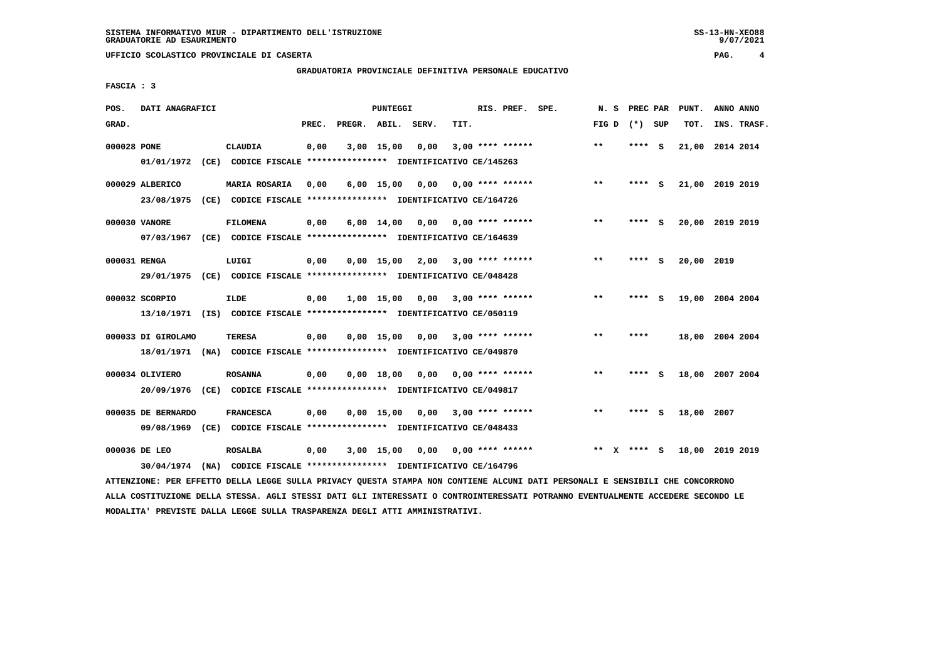#### **GRADUATORIA PROVINCIALE DEFINITIVA PERSONALE EDUCATIVO**

 $9/07/2021$ 

 **FASCIA : 3**

| POS.         | DATI ANAGRAFICI    |      |                                                                         |       |              | <b>PUNTEGGI</b>    |       |      | RIS. PREF.         | SPE. | N. S  |   | PREC PAR |          | PUNT.           | ANNO ANNO |             |
|--------------|--------------------|------|-------------------------------------------------------------------------|-------|--------------|--------------------|-------|------|--------------------|------|-------|---|----------|----------|-----------------|-----------|-------------|
| GRAD.        |                    |      |                                                                         | PREC. | PREGR. ABIL. |                    | SERV. | TIT. |                    |      | FIG D |   | (*) SUP  |          | TOT.            |           | INS. TRASF. |
|              |                    |      |                                                                         |       |              |                    |       |      |                    |      |       |   |          |          |                 |           |             |
| 000028 PONE  |                    |      | <b>CLAUDIA</b>                                                          | 0,00  |              | $3,00$ 15,00       | 0.00  |      | $3,00$ **** ****** |      | $***$ |   | ****     | - S      | 21,00           | 2014 2014 |             |
|              | 01/01/1972         |      | (CE) CODICE FISCALE **************** IDENTIFICATIVO CE/145263           |       |              |                    |       |      |                    |      |       |   |          |          |                 |           |             |
|              | 000029 ALBERICO    |      | MARIA ROSARIA                                                           | 0,00  |              | 6,00 15,00         | 0,00  |      | $0.00$ **** ****** |      | $* *$ |   | ****     | <b>S</b> | 21,00 2019 2019 |           |             |
|              | 23/08/1975         |      | (CE) CODICE FISCALE **************** IDENTIFICATIVO CE/164726           |       |              |                    |       |      |                    |      |       |   |          |          |                 |           |             |
|              |                    |      |                                                                         |       |              |                    |       |      |                    |      |       |   |          |          |                 |           |             |
|              | 000030 VANORE      |      | <b>FILOMENA</b>                                                         | 0,00  |              | $6,00 \quad 14,00$ | 0,00  |      | 0,00 **** ******   |      | $* *$ |   | ****     | <b>S</b> | 20,00 2019 2019 |           |             |
|              | 07/03/1967         | (CE) | CODICE FISCALE **************** IDENTIFICATIVO CE/164639                |       |              |                    |       |      |                    |      |       |   |          |          |                 |           |             |
|              |                    |      |                                                                         |       |              |                    |       |      |                    |      |       |   |          |          |                 |           |             |
| 000031 RENGA |                    |      | LUIGI                                                                   | 0,00  |              | $0,00$ 15,00       | 2,00  |      | $3,00$ **** ****** |      | **    |   | ****     | - S      | 20,00 2019      |           |             |
|              | 29/01/1975         | (CE) | CODICE FISCALE **************** IDENTIFICATIVO CE/048428                |       |              |                    |       |      |                    |      |       |   |          |          |                 |           |             |
|              |                    |      |                                                                         |       |              |                    |       |      |                    |      |       |   |          |          |                 |           |             |
|              | 000032 SCORPIO     |      | <b>ILDE</b>                                                             | 0,00  |              | 1,00 15,00         | 0,00  |      | $3,00$ **** ****** |      | $* *$ |   | ****     | - S      | 19,00           | 2004 2004 |             |
|              |                    |      | 13/10/1971 (IS) CODICE FISCALE *************** IDENTIFICATIVO CE/050119 |       |              |                    |       |      |                    |      |       |   |          |          |                 |           |             |
|              |                    |      |                                                                         |       |              |                    |       |      |                    |      |       |   |          |          |                 |           |             |
|              | 000033 DI GIROLAMO |      | <b>TERESA</b>                                                           | 0,00  |              | 0.00 15.00         | 0,00  |      | $3,00$ **** ****** |      | $* *$ |   | ****     |          | 18,00 2004 2004 |           |             |
|              | 18/01/1971         |      | (NA) CODICE FISCALE **************** IDENTIFICATIVO CE/049870           |       |              |                    |       |      |                    |      |       |   |          |          |                 |           |             |
|              |                    |      |                                                                         |       |              |                    |       |      |                    |      |       |   |          |          |                 |           |             |
|              | 000034 OLIVIERO    |      | <b>ROSANNA</b>                                                          | 0,00  |              | $0,00$ 18,00       | 0,00  |      | $0.00$ **** ****** |      | $**$  |   | ****     | -S       | 18,00           | 2007 2004 |             |
|              | 20/09/1976         |      | (CE) CODICE FISCALE **************** IDENTIFICATIVO CE/049817           |       |              |                    |       |      |                    |      |       |   |          |          |                 |           |             |
|              |                    |      |                                                                         |       |              |                    |       |      |                    |      |       |   |          |          |                 |           |             |
|              | 000035 DE BERNARDO |      | <b>FRANCESCA</b>                                                        | 0,00  |              | 0.00 15.00         | 0.00  |      | $3,00$ **** ****** |      | $**$  |   | ****     | - S      | 18,00 2007      |           |             |
|              | 09/08/1969         | (CE) | CODICE FISCALE **************** IDENTIFICATIVO CE/048433                |       |              |                    |       |      |                    |      |       |   |          |          |                 |           |             |
|              | 000036 DE LEO      |      | <b>ROSALBA</b>                                                          | 0,00  |              | 3,00 15,00         | 0,00  |      | 0,00 **** ******   |      | $* *$ | x | **** S   |          | 18,00 2019 2019 |           |             |
|              |                    |      |                                                                         |       |              |                    |       |      |                    |      |       |   |          |          |                 |           |             |
|              | 30/04/1974         |      | (NA) CODICE FISCALE **************** IDENTIFICATIVO CE/164796           |       |              |                    |       |      |                    |      |       |   |          |          |                 |           |             |

 **ATTENZIONE: PER EFFETTO DELLA LEGGE SULLA PRIVACY QUESTA STAMPA NON CONTIENE ALCUNI DATI PERSONALI E SENSIBILI CHE CONCORRONO ALLA COSTITUZIONE DELLA STESSA. AGLI STESSI DATI GLI INTERESSATI O CONTROINTERESSATI POTRANNO EVENTUALMENTE ACCEDERE SECONDO LE MODALITA' PREVISTE DALLA LEGGE SULLA TRASPARENZA DEGLI ATTI AMMINISTRATIVI.**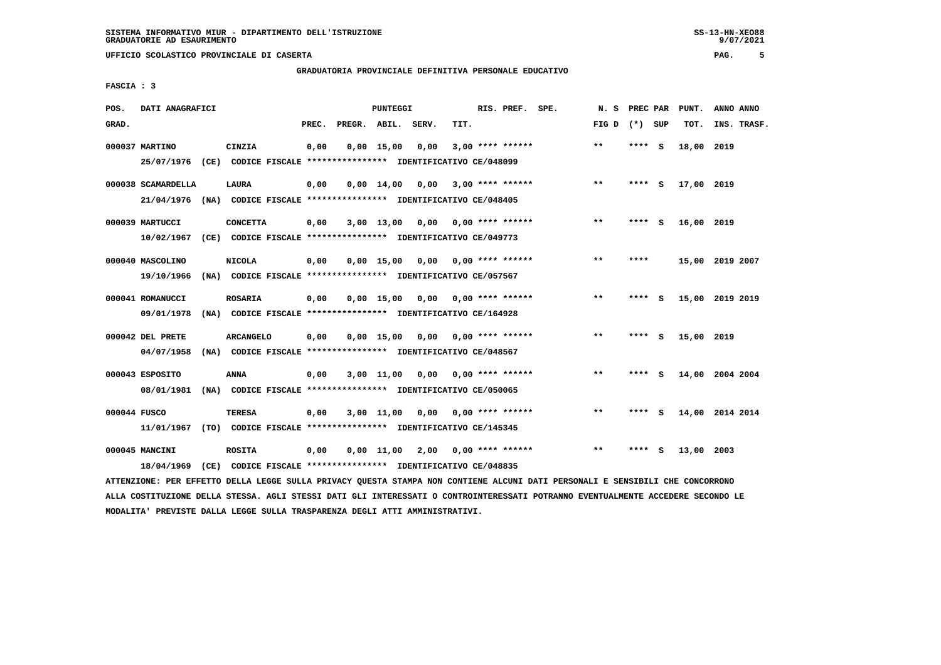# **GRADUATORIA PROVINCIALE DEFINITIVA PERSONALE EDUCATIVO**

 **FASCIA : 3**

| POS.         | DATI ANAGRAFICI               | <b>PUNTEGGI</b>                                                              |       |              |                    |       | RIS. PREF. SPE.           | N.S | PREC PAR           |       | PUNT.  | ANNO ANNO |            |                 |
|--------------|-------------------------------|------------------------------------------------------------------------------|-------|--------------|--------------------|-------|---------------------------|-----|--------------------|-------|--------|-----------|------------|-----------------|
| GRAD.        |                               |                                                                              | PREC. | PREGR. ABIL. |                    | SERV. | TIT.                      |     |                    | FIG D | $(*)$  | SUP       | TOT.       | INS. TRASF.     |
|              | 000037 MARTINO                | CINZIA                                                                       | 0,00  |              | $0,00$ 15,00       | 0,00  |                           |     | $3,00$ **** ****** | $* *$ | ****   | - S       | 18,00 2019 |                 |
|              | 25/07/1976                    | (CE) CODICE FISCALE **************** IDENTIFICATIVO CE/048099                |       |              |                    |       |                           |     |                    |       |        |           |            |                 |
|              | 000038 SCAMARDELLA            | <b>LAURA</b>                                                                 | 0,00  |              | $0,00 \quad 14,00$ | 0,00  | $3,00$ **** ******        |     |                    | $***$ | ****   | - S       | 17,00 2019 |                 |
|              | 21/04/1976                    | (NA) CODICE FISCALE **************** IDENTIFICATIVO CE/048405                |       |              |                    |       |                           |     |                    |       |        |           |            |                 |
|              | 000039 MARTUCCI               | <b>CONCETTA</b>                                                              | 0,00  |              | 3,00 13,00         | 0,00  |                           |     | $0.00$ **** ****** | $* *$ | ****   | - S       | 16,00 2019 |                 |
|              | 10/02/1967                    | (CE) CODICE FISCALE **************** IDENTIFICATIVO CE/049773                |       |              |                    |       |                           |     |                    |       |        |           |            |                 |
|              | 000040 MASCOLINO              | NICOLA                                                                       | 0,00  |              | $0.00$ 15.00       |       | $0.00$ $0.00$ **** ****** |     |                    | $* *$ | ****   |           |            | 15,00 2019 2007 |
|              | 19/10/1966                    | (NA) CODICE FISCALE **************** IDENTIFICATIVO CE/057567                |       |              |                    |       |                           |     |                    |       |        |           |            |                 |
|              | 000041 ROMANUCCI              | <b>ROSARIA</b>                                                               | 0,00  |              | $0,00$ 15,00       | 0,00  |                           |     | $0.00$ **** ****** | $***$ | ****   | - 5       | 15,00      | 2019 2019       |
|              | 09/01/1978                    | (NA) CODICE FISCALE **************** IDENTIFICATIVO CE/164928                |       |              |                    |       |                           |     |                    |       |        |           |            |                 |
|              | 000042 DEL PRETE              | <b>ARCANGELO</b>                                                             | 0,00  |              | $0.00$ 15,00       | 0,00  | 0,00 **** ******          |     |                    | **    | **** S |           | 15,00 2019 |                 |
|              | 04/07/1958                    | (NA) CODICE FISCALE **************** IDENTIFICATIVO CE/048567                |       |              |                    |       |                           |     |                    |       |        |           |            |                 |
|              |                               |                                                                              |       |              |                    |       |                           |     |                    | $* *$ |        |           |            |                 |
|              | 000043 ESPOSITO<br>08/01/1981 | <b>ANNA</b><br>(NA) CODICE FISCALE **************** IDENTIFICATIVO CE/050065 | 0,00  |              | 3,00 11,00         | 0,00  | 0,00 **** ******          |     |                    |       | ****   | - S       |            | 14,00 2004 2004 |
|              |                               |                                                                              |       |              |                    |       |                           |     |                    |       |        |           |            |                 |
| 000044 FUSCO |                               | <b>TERESA</b>                                                                | 0,00  |              | 3,00 11,00         | 0,00  |                           |     | $0.00$ **** ****** | $***$ | ****   | - 5       |            | 14,00 2014 2014 |
|              | 11/01/1967                    | (TO) CODICE FISCALE **************** IDENTIFICATIVO CE/145345                |       |              |                    |       |                           |     |                    |       |        |           |            |                 |
|              | 000045 MANCINI                | <b>ROSITA</b>                                                                | 0,00  |              | 0.00 11.00         | 2,00  |                           |     | $0.00$ **** ****** | $* *$ | ****   | - S       | 13,00 2003 |                 |
|              | 18/04/1969                    | (CE) CODICE FISCALE **************** IDENTIFICATIVO CE/048835                |       |              |                    |       |                           |     |                    |       |        |           |            |                 |

 **ATTENZIONE: PER EFFETTO DELLA LEGGE SULLA PRIVACY QUESTA STAMPA NON CONTIENE ALCUNI DATI PERSONALI E SENSIBILI CHE CONCORRONO ALLA COSTITUZIONE DELLA STESSA. AGLI STESSI DATI GLI INTERESSATI O CONTROINTERESSATI POTRANNO EVENTUALMENTE ACCEDERE SECONDO LE MODALITA' PREVISTE DALLA LEGGE SULLA TRASPARENZA DEGLI ATTI AMMINISTRATIVI.**